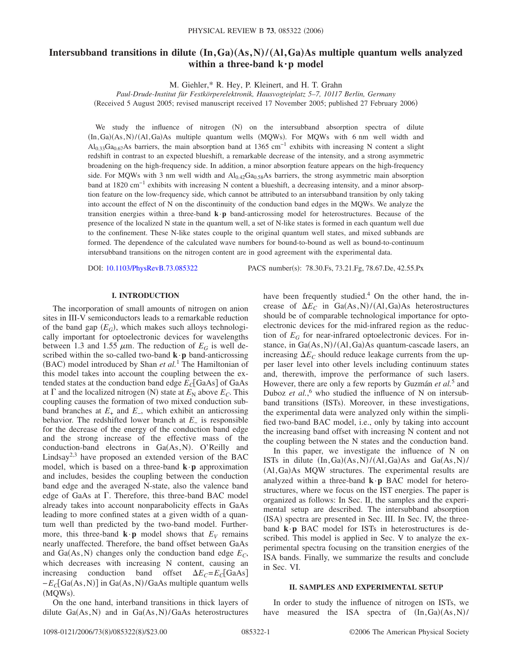# **Intersubband transitions in dilute**  $(In,Ga)(As,N)/(Al,Ga)As$  multiple quantum wells analyzed **within a three-band k·p model**

M. Giehler,\* R. Hey, P. Kleinert, and H. T. Grahn

*Paul-Drude-Institut für Festkörperelektronik, Hausvogteiplatz 5–7, 10117 Berlin, Germany* Received 5 August 2005; revised manuscript received 17 November 2005; published 27 February 2006-

We study the influence of nitrogen (N) on the intersubband absorption spectra of dilute  $(In, Ga)(As, N)/(Al, Ga)As$  multiple quantum wells  $(MQWs)$ . For  $MQWs$  with 6 nm well width and Al<sub>0.33</sub>Ga<sub>0.67</sub>As barriers, the main absorption band at 1365 cm<sup>-1</sup> exhibits with increasing N content a slight redshift in contrast to an expected blueshift, a remarkable decrease of the intensity, and a strong asymmetric broadening on the high-frequency side. In addition, a minor absorption feature appears on the high-frequency side. For MQWs with 3 nm well width and  $Al_{0.42}Ga_{0.58}As$  barriers, the strong asymmetric main absorption band at 1820 cm−1 exhibits with increasing N content a blueshift, a decreasing intensity, and a minor absorption feature on the low-frequency side, which cannot be attributed to an intersubband transition by only taking into account the effect of N on the discontinuity of the conduction band edges in the MQWs. We analyze the transition energies within a three-band **k**·**p** band-anticrossing model for heterostructures. Because of the presence of the localized N state in the quantum well, a set of N-like states is formed in each quantum well due to the confinement. These N-like states couple to the original quantum well states, and mixed subbands are formed. The dependence of the calculated wave numbers for bound-to-bound as well as bound-to-continuum intersubband transitions on the nitrogen content are in good agreement with the experimental data.

DOI: [10.1103/PhysRevB.73.085322](http://dx.doi.org/10.1103/PhysRevB.73.085322)

PACS number(s): 78.30.Fs, 73.21.Fg, 78.67.De, 42.55.Px

### **I. INTRODUCTION**

The incorporation of small amounts of nitrogen on anion sites in III-V semiconductors leads to a remarkable reduction of the band gap  $(E_G)$ , which makes such alloys technologically important for optoelectronic devices for wavelengths between 1.3 and 1.55  $\mu$ m. The reduction of  $E_G$  is well described within the so-called two-band **k**·**p** band-anticrossing (BAC) model introduced by Shan *et al.*<sup>1</sup> The Hamiltonian of this model takes into account the coupling between the extended states at the conduction band edge  $E_C[GaAs]$  of GaAs at  $\Gamma$  and the localized nitrogen (N) state at  $E_N$  above  $E_C$ . This coupling causes the formation of two mixed conduction subband branches at  $E_+$  and  $E_-$ , which exhibit an anticrossing behavior. The redshifted lower branch at *E*<sup>−</sup> is responsible for the decrease of the energy of the conduction band edge and the strong increase of the effective mass of the conduction-band electrons in Ga(As, N). O'Reilly and Lindsay<sup>2,3</sup> have proposed an extended version of the BAC model, which is based on a three-band  $\mathbf{k} \cdot \mathbf{p}$  approximation and includes, besides the coupling between the conduction band edge and the averaged N-state, also the valence band edge of GaAs at  $\Gamma$ . Therefore, this three-band BAC model already takes into account nonparabolicity effects in GaAs leading to more confined states at a given width of a quantum well than predicted by the two-band model. Furthermore, this three-band  $\mathbf{k} \cdot \mathbf{p}$  model shows that  $E_V$  remains nearly unaffected. Therefore, the band offset between GaAs and  $Ga(As, N)$  changes only the conduction band edge  $E_C$ , which decreases with increasing N content, causing an increasing conduction band offset  $\Delta E_C = E_C[GaAs]$ −E<sub>C</sub>[Ga(As,N)] in Ga(As,N)/GaAs multiple quantum wells (MQWs).

On the one hand, interband transitions in thick layers of dilute  $Ga(As, N)$  and in  $Ga(As, N)/GaAs$  heterostructures

have been frequently studied.<sup>4</sup> On the other hand, the increase of  $\Delta E_C$  in Ga(As, N)/(Al, Ga)As heterostructures should be of comparable technological importance for optoelectronic devices for the mid-infrared region as the reduction of  $E_G$  for near-infrared optoelectronic devices. For instance, in Ga(As, N)/(Al, Ga)As quantum-cascade lasers, an increasing  $\Delta E_C$  should reduce leakage currents from the upper laser level into other levels including continuum states and, therewith, improve the performance of such lasers. However, there are only a few reports by Guzmán *et al.*<sup>5</sup> and Duboz *et al.*,<sup>6</sup> who studied the influence of N on intersubband transitions (ISTs). Moreover, in these investigations, the experimental data were analyzed only within the simplified two-band BAC model, i.e., only by taking into account the increasing band offset with increasing N content and not the coupling between the N states and the conduction band.

In this paper, we investigate the influence of N on ISTs in dilute  $(In, Ga)(As, N)/(Al, Ga)As$  and  $Ga(As, N)/$ (Al, Ga) As MQW structures. The experimental results are analyzed within a three-band **k**·**p** BAC model for heterostructures, where we focus on the IST energies. The paper is organized as follows: In Sec. II, the samples and the experimental setup are described. The intersubband absorption (ISA) spectra are presented in Sec. III. In Sec. IV, the threeband **k**·**p** BAC model for ISTs in heterostructures is described. This model is applied in Sec. V to analyze the experimental spectra focusing on the transition energies of the ISA bands. Finally, we summarize the results and conclude in Sec. VI.

#### **II. SAMPLES AND EXPERIMENTAL SETUP**

In order to study the influence of nitrogen on ISTs, we have measured the ISA spectra of  $(In, Ga)(As, N)/$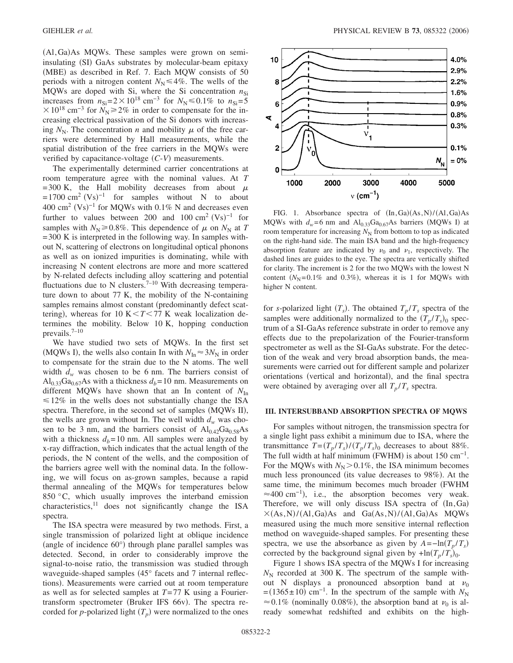(Al, Ga) As MQWs. These samples were grown on semiinsulating (SI) GaAs substrates by molecular-beam epitaxy (MBE) as described in Ref. 7. Each MQW consists of 50 periods with a nitrogen content  $N_N \leq 4\%$ . The wells of the MQWs are doped with Si, where the Si concentration  $n_{\text{Si}}$ increases from  $n_{\text{Si}}=2\times10^{18} \text{ cm}^{-3}$  for  $N_{\text{N}}$  ≤ 0.1% to  $n_{\text{Si}}=5$  $\times 10^{18}$  cm<sup>-3</sup> for  $N_{\rm N}$ ≥2% in order to compensate for the increasing electrical passivation of the Si donors with increasing  $N_N$ . The concentration *n* and mobility  $\mu$  of the free carriers were determined by Hall measurements, while the spatial distribution of the free carriers in the MQWs were verified by capacitance-voltage  $(C-V)$  measurements.

The experimentally determined carrier concentrations at room temperature agree with the nominal values. At *T* = 300 K, the Hall mobility decreases from about  $\mu$  $= 1700 \text{ cm}^2 \text{ (Vs)}^{-1}$  for samples without N to about 400 cm<sup>2</sup> (Vs)<sup>-1</sup> for MQWs with 0.1% N and decreases even further to values between 200 and  $100 \text{ cm}^2 \text{ (Vs)}^{-1}$  for samples with  $N_N \ge 0.8\%$ . This dependence of  $\mu$  on  $N_N$  at *T* = 300 K is interpreted in the following way. In samples without N, scattering of electrons on longitudinal optical phonons as well as on ionized impurities is dominating, while with increasing N content electrons are more and more scattered by N-related defects including alloy scattering and potential fluctuations due to N clusters.<sup>7-10</sup> With decreasing temperature down to about 77 K, the mobility of the N-containing samples remains almost constant (predominantly defect scattering), whereas for 10 K $77 K weak localization de$ termines the mobility. Below 10 K, hopping conduction prevails. $7-10$ 

We have studied two sets of MQWs. In the first set (MQWs I), the wells also contain In with  $N_{\text{In}} \approx 3N_{\text{N}}$  in order to compensate for the strain due to the N atoms. The well width  $d_w$  was chosen to be 6 nm. The barriers consist of  $\text{Al}_{0.33}\text{Ga}_{0.67}\text{As}$  with a thickness  $d_b$ = 10 nm. Measurements on different MQWs have shown that an In content of  $N_{\text{In}}$  $\leq 12\%$  in the wells does not substantially change the ISA spectra. Therefore, in the second set of samples (MQWs II), the wells are grown without In. The well width  $d_w$  was chosen to be 3 nm, and the barriers consist of  $Al_{0.42}Ga_{0.58}As$ with a thickness  $d_b = 10$  nm. All samples were analyzed by x-ray diffraction, which indicates that the actual length of the periods, the N content of the wells, and the composition of the barriers agree well with the nominal data. In the following, we will focus on as-grown samples, because a rapid thermal annealing of the MQWs for temperatures below 850  $\degree$ C, which usually improves the interband emission characteristics, $11$  does not significantly change the ISA spectra.

The ISA spectra were measured by two methods. First, a single transmission of polarized light at oblique incidence (angle of incidence 60°) through plane parallel samples was detected. Second, in order to considerably improve the signal-to-noise ratio, the transmission was studied through waveguide-shaped samples (45° facets and 7 internal reflections). Measurements were carried out at room temperature as well as for selected samples at *T*= 77 K using a Fouriertransform spectrometer (Bruker IFS 66v). The spectra recorded for *p*-polarized light  $(T_p)$  were normalized to the ones



FIG. 1. Absorbance spectra of  $(In, Ga)(As, N)/(Al, Ga)As$ MQWs with  $d_w = 6$  nm and  $Al_{0.33}Ga_{0.67}As$  barriers (MQWs I) at room temperature for increasing  $N<sub>N</sub>$  from bottom to top as indicated on the right-hand side. The main ISA band and the high-frequency absorption feature are indicated by  $v_0$  and  $v_1$ , respectively. The dashed lines are guides to the eye. The spectra are vertically shifted for clarity. The increment is 2 for the two MQWs with the lowest N content  $(N_N=0.1\%$  and 0.3%), whereas it is 1 for MQWs with higher N content.

for *s*-polarized light  $(T_s)$ . The obtained  $T_p/T_s$  spectra of the samples were additionally normalized to the  $(T_p/T_s)_0$  spectrum of a SI-GaAs reference substrate in order to remove any effects due to the prepolarization of the Fourier-transform spectrometer as well as the SI-GaAs substrate. For the detection of the weak and very broad absorption bands, the measurements were carried out for different sample and polarizer orientations (vertical and horizontal), and the final spectra were obtained by averaging over all  $T_p / T_s$  spectra.

#### **III. INTERSUBBAND ABSORPTION SPECTRA OF MQWS**

For samples without nitrogen, the transmission spectra for a single light pass exhibit a minimum due to ISA, where the transmittance  $T = (T_p / T_s) / (T_p / T_s)$  decreases to about 88%. The full width at half minimum (FWHM) is about  $150 \text{ cm}^{-1}$ . For the MQWs with  $N_N$  > 0.1%, the ISA minimum becomes much less pronounced (its value decreases to 98%). At the same time, the minimum becomes much broader (FWHM  $\approx$ 400 cm<sup>-1</sup>), i.e., the absorption becomes very weak. Therefore, we will only discuss ISA spectra of  $(In,Ga)$  $\times$ (As, N)/(Al, Ga)As and Ga(As, N)/(Al, Ga)As MQWs measured using the much more sensitive internal reflection method on waveguide-shaped samples. For presenting these spectra, we use the absorbance as given by  $A = -\ln(T_p / T_s)$ corrected by the background signal given by  $+\ln(T_p/T_s)_{0}$ .

Figure 1 shows ISA spectra of the MQWs I for increasing  $N_N$  recorded at 300 K. The spectrum of the sample without N displays a pronounced absorption band at  $\nu_0$  $=(1365 \pm 10)$  cm<sup>-1</sup>. In the spectrum of the sample with *N*<sub>N</sub>  $\approx 0.1\%$  (nominally 0.08%), the absorption band at  $\nu_0$  is already somewhat redshifted and exhibits on the high-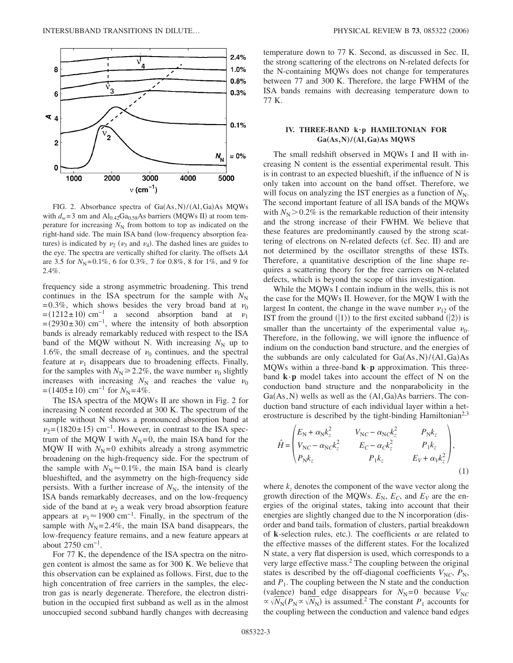

FIG. 2. Absorbance spectra of  $Ga(As, N)/(Al, Ga)As$  MQWs with  $d_w = 3$  nm and  $Al_{0.42}Ga_{0.58}As$  barriers (MQWs II) at room temperature for increasing  $N_N$  from bottom to top as indicated on the right-hand side. The main ISA band (low-frequency absorption features) is indicated by  $\nu_2$  ( $\nu_3$  and  $\nu_4$ ). The dashed lines are guides to the eye. The spectra are vertically shifted for clarity. The offsets *A* are 3.5 for  $N_N$ =0.1%, 6 for 0.3%, 7 for 0.8%, 8 for 1%, and 9 for 2.4%.

frequency side a strong asymmetric broadening. This trend continues in the ISA spectrum for the sample with  $N_N$ = 0.3%, which shows besides the very broad band at  $\nu_0$  $=(1212 \pm 10)$  cm<sup>-1</sup> a second absorption band at  $v_1$  $=(2930 \pm 30)$  cm<sup>-1</sup>, where the intensity of both absorption bands is already remarkably reduced with respect to the ISA band of the MQW without N. With increasing  $N_N$  up to 1.6%, the small decrease of  $\nu_0$  continues, and the spectral feature at  $\nu_1$  disappears due to broadening effects. Finally, for the samples with  $N_N \ge 2.2\%$ , the wave number  $\nu_0$  slightly increases with increasing  $N_N$  and reaches the value  $\nu_0$  $=(1405 \pm 10)$  cm<sup>-1</sup> for  $N_N = 4\%$ .

The ISA spectra of the MQWs II are shown in Fig. 2 for increasing N content recorded at 300 K. The spectrum of the sample without N shows a pronounced absorption band at  $v_2$ =(1820±15) cm<sup>-1</sup>. However, in contrast to the ISA spectrum of the MQW I with  $N_N = 0$ , the main ISA band for the MQW II with  $N_N = 0$  exhibits already a strong asymmetric broadening on the high-frequency side. For the spectrum of the sample with  $N_N \approx 0.1\%$ , the main ISA band is clearly blueshifted, and the asymmetry on the high-frequency side persists. With a further increase of  $N<sub>N</sub>$ , the intensity of the ISA bands remarkably decreases, and on the low-frequency side of the band at  $\nu_2$  a weak very broad absorption feature appears at  $\nu_3 \approx 1900 \text{ cm}^{-1}$ . Finally, in the spectrum of the sample with  $N_N = 2.4\%$ , the main ISA band disappears, the low-frequency feature remains, and a new feature appears at about  $2750 \text{ cm}^{-1}$ .

For 77 K, the dependence of the ISA spectra on the nitrogen content is almost the same as for 300 K. We believe that this observation can be explained as follows. First, due to the high concentration of free carriers in the samples, the electron gas is nearly degenerate. Therefore, the electron distribution in the occupied first subband as well as in the almost unoccupied second subband hardly changes with decreasing temperature down to 77 K. Second, as discussed in Sec. II, the strong scattering of the electrons on N-related defects for the N-containing MQWs does not change for temperatures between 77 and 300 K. Therefore, the large FWHM of the ISA bands remains with decreasing temperature down to 77 K.

### **IV. THREE-BAND k·p HAMILTONIAN FOR**  $Ga(As, N)/(Al, Ga)As MQWS$

The small redshift observed in MQWs I and II with increasing N content is the essential experimental result. This is in contrast to an expected blueshift, if the influence of N is only taken into account on the band offset. Therefore, we will focus on analyzing the IST energies as a function of  $N_N$ . The second important feature of all ISA bands of the MQWs with  $N_N$  > 0.2% is the remarkable reduction of their intensity and the strong increase of their FWHM. We believe that these features are predominantly caused by the strong scattering of electrons on N-related defects (cf. Sec. II) and are not determined by the oscillator strengths of these ISTs. Therefore, a quantitative description of the line shape requires a scattering theory for the free carriers on N-related defects, which is beyond the scope of this investigation.

While the MQWs I contain indium in the wells, this is not the case for the MQWs II. However, for the MQW I with the largest In content, the change in the wave number  $v_{12}$  of the IST from the ground  $(1)$  to the first excited subband  $(2)$  is smaller than the uncertainty of the experimental value  $\nu_0$ . Therefore, in the following, we will ignore the influence of indium on the conduction band structure, and the energies of the subbands are only calculated for  $Ga(As, N)/(Al, Ga)As$ MQWs within a three-band **k**·**p** approximation. This threeband  $\mathbf{k} \cdot \mathbf{p}$  model takes into account the effect of N on the conduction band structure and the nonparabolicity in the  $Ga(As, N)$  wells as well as the  $(A1, Ga)As$  barriers. The conduction band structure of each individual layer within a heterostructure is described by the tight-binding Hamiltonian<sup>2,3</sup>

$$
\hat{H} = \begin{pmatrix}\nE_{\rm N} + \alpha_{\rm N} k_z^2 & V_{\rm NC} - \alpha_{\rm N} c k_z^2 & P_{\rm N} k_z \\
V_{\rm NC} - \alpha_{\rm N} c k_z^2 & E_C - \alpha_C k_z^2 & P_1 k_z \\
P_{\rm N} k_z & P_1 k_z & E_V + \alpha_V k_z^2\n\end{pmatrix},
$$
\n(1)

where  $k<sub>z</sub>$  denotes the component of the wave vector along the growth direction of the MQWs.  $E_N$ ,  $E_C$ , and  $E_V$  are the energies of the original states, taking into account that their energies are slightly changed due to the N incorporation (disorder and band tails, formation of clusters, partial breakdown of **k**-selection rules, etc.). The coefficients  $\alpha$  are related to the effective masses of the different states. For the localized N state, a very flat dispersion is used, which corresponds to a very large effective mass.<sup>2</sup> The coupling between the original states is described by the off-diagonal coefficients  $V_{NC}$ ,  $P_N$ , and  $P_1$ . The coupling between the N state and the conduction (valence) band edge disappears for  $N_N = 0$  because  $V_{NC}$  $\propto \sqrt{N_N} (P_N \propto \sqrt{N_N})$  is assumed.<sup>2</sup> The constant *P*<sub>1</sub> accounts for the coupling between the conduction and valence band edges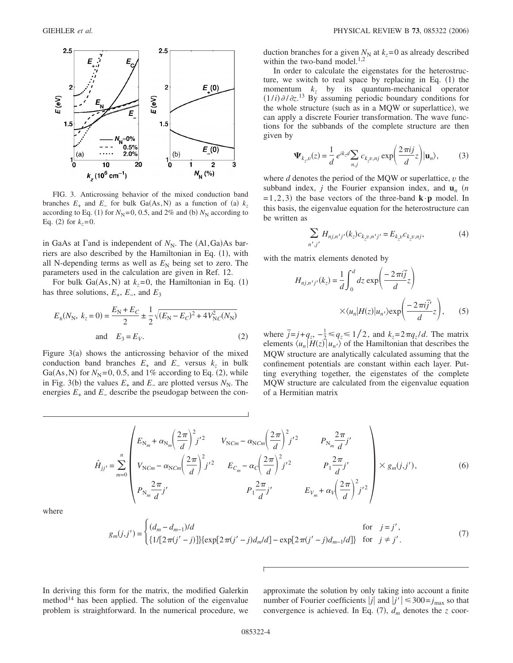

FIG. 3. Anticrossing behavior of the mixed conduction band branches  $E_+$  and  $E_-$  for bulk Ga(As,N) as a function of (a)  $k_z$ according to Eq. (1) for  $N_N$ =0, 0.5, and 2% and (b)  $N_N$  according to Eq. (2) for  $k_z = 0$ .

in GaAs at  $\Gamma$  and is independent of  $N_N$ . The  $(A1, Ga)As$  barriers are also described by the Hamiltonian in Eq. (1), with all N-depending terms as well as  $E<sub>N</sub>$  being set to zero. The parameters used in the calculation are given in Ref. 12.

For bulk  $Ga(As, N)$  at  $k_z=0$ , the Hamiltonian in Eq. (1) has three solutions, *E*+, *E*−, and *E*<sup>3</sup>

$$
E_{\pm}(N_{\rm N}, k_{z} = 0) = \frac{E_{\rm N} + E_{C}}{2} \pm \frac{1}{2} \sqrt{(E_{\rm N} - E_{C})^{2} + 4V_{\rm NC}^{2}(N_{\rm N})}
$$
  
and  $E_{3} = E_{V}$ . (2)

Figure  $3(a)$  shows the anticrossing behavior of the mixed conduction band branches  $E_+$  and  $E_-$  versus  $k_z$  in bulk Ga(As, N) for  $N_N$ =0, 0.5, and 1% according to Eq. (2), while in Fig. 3(b) the values  $E_+$  and  $E_-$  are plotted versus  $N_N$ . The energies  $E_+$  and  $E_-$  describe the pseudogap between the conduction branches for a given  $N_N$  at  $k_z = 0$  as already described within the two-band model. $^{1,2}$ 

In order to calculate the eigenstates for the heterostructure, we switch to real space by replacing in Eq.  $(1)$  the momentum *kz* by its quantum-mechanical operator  $(1/i)\partial/\partial z$ .<sup>13</sup> By assuming periodic boundary conditions for the whole structure (such as in a MQW or superlattice), we can apply a discrete Fourier transformation. The wave functions for the subbands of the complete structure are then given by

$$
\Psi_{k_z, v}(z) = \frac{1}{d} e^{ik_z d} \sum_{n,j} c_{k_z, n,j} \exp\left(\frac{2\pi ij}{d} z\right) | \mathbf{u}_n \rangle, \tag{3}
$$

where *d* denotes the period of the MQW or superlattice, *v* the subband index, *j* the Fourier expansion index, and  $\mathbf{u}_n$  (*n*  $=1,2,3$ ) the base vectors of the three-band  $\mathbf{k} \cdot \mathbf{p}$  model. In this basis, the eigenvalue equation for the heterostructure can be written as

$$
\sum_{n',j'} H_{nj,n'j'}(k_z) c_{k_z v,n'j'} = E_{k_z v} c_{k_z v,nj},\tag{4}
$$

with the matrix elements denoted by

$$
H_{nj,n'j'}(k_z) = \frac{1}{d} \int_0^d dz \exp\left(\frac{-2\pi i \overline{j}}{d} z\right)
$$

$$
\times \langle u_n | H(z) | u_{n'} \rangle \exp\left(\frac{-2\pi i \overline{j'}}{d} z\right), \qquad (5)
$$

where  $\bar{j} = j + q_z$ ,  $-\frac{1}{2} \leq q_z \leq 1/2$ , and  $k_z = 2\pi q_z/d$ . The matrix elements  $\langle u_n | H(z) | u_{n'} \rangle$  of the Hamiltonian that describes the MQW structure are analytically calculated assuming that the confinement potentials are constant within each layer. Putting everything together, the eigenstates of the complete MQW structure are calculated from the eigenvalue equation of a Hermitian matrix

$$
\hat{H}_{jj'} = \sum_{m=0}^{n} \begin{pmatrix} E_{N_m} + \alpha_{N_m} \left( \frac{2\pi}{d} \right)^2 j'^2 & V_{NCm} - \alpha_{NCm} \left( \frac{2\pi}{d} \right)^2 j'^2 & P_{N_m} \frac{2\pi}{d} j' \\ V_{NCm} - \alpha_{NCm} \left( \frac{2\pi}{d} \right)^2 j'^2 & E_{C_m} - \alpha_C \left( \frac{2\pi}{d} \right)^2 j'^2 & P_1 \frac{2\pi}{d} j' \\ P_{N_m} \frac{2\pi}{d} j' & P_1 \frac{2\pi}{d} j' & E_{V_m} + \alpha_V \left( \frac{2\pi}{d} \right)^2 j'^2 \end{pmatrix} \times g_m(j, j'),
$$
\n(6)

where

$$
g_m(j,j') = \begin{cases} (d_m - d_{m-1})/d & \text{for } j = j', \\ \{1/[2\pi(j'-j)]\} \{ \exp[2\pi(j'-j)d_m/d] - \exp[2\pi(j'-j)d_{m-1}/d] \} & \text{for } j \neq j'. \end{cases}
$$
(7)

In deriving this form for the matrix, the modified Galerkin method $14$  has been applied. The solution of the eigenvalue problem is straightforward. In the numerical procedure, we approximate the solution by only taking into account a finite number of Fourier coefficients  $|j|$  and  $|j'| \leq 300 = j_{\text{max}}$  so that convergence is achieved. In Eq.  $(7)$ ,  $d_m$  denotes the *z* coor-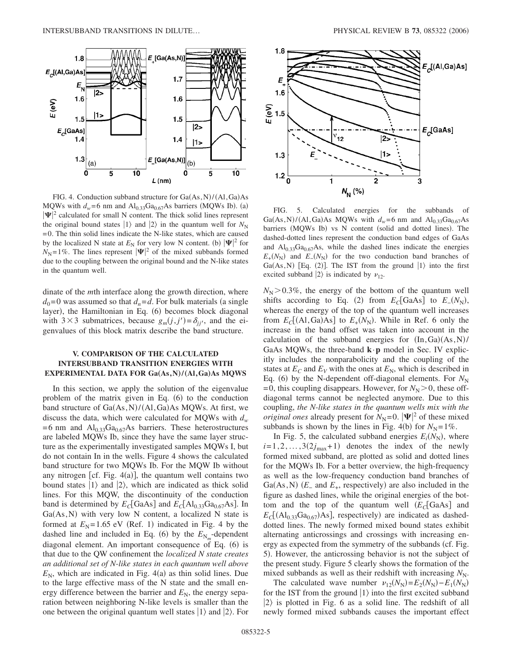

FIG. 4. Conduction subband structure for  $Ga(As, N)/(Al, Ga)As$ MQWs with  $d_w = 6$  nm and  $Al_{0.33}Ga_{0.67}As$  barriers (MQWs Ib). (a)  $|\Psi|^2$  calculated for small N content. The thick solid lines represent the original bound states  $|1\rangle$  and  $|2\rangle$  in the quantum well for  $N_N$ = 0. The thin solid lines indicate the N-like states, which are caused by the localized N state at  $E_N$  for very low N content. (b)  $|\Psi|^2$  for  $N_{\rm N}=1\%$ . The lines represent  $|\Psi|^2$  of the mixed subbands formed due to the coupling between the original bound and the N-like states in the quantum well.

dinate of the *m*th interface along the growth direction, where  $d_0$ =0 was assumed so that  $d_n = d$ . For bulk materials (a single layer), the Hamiltonian in Eq. (6) becomes block diagonal with  $3 \times 3$  submatrices, because  $g_m(j, j') = \delta_{jj'}$ , and the eigenvalues of this block matrix describe the band structure.

# **V. COMPARISON OF THE CALCULATED INTERSUBBAND TRANSITION ENERGIES WITH EXPERIMENTAL DATA FOR Ga(As,N)/(Al,Ga)As MQWS**

In this section, we apply the solution of the eigenvalue problem of the matrix given in Eq. (6) to the conduction band structure of Ga(As, N)/(Al, Ga)As MQWs. At first, we discuss the data, which were calculated for MQWs with  $d_w$  $= 6$  nm and  $Al_{0.33}Ga_{0.67}As$  barriers. These heterostructures are labeled MQWs Ib, since they have the same layer structure as the experimentally investigated samples MQWs I, but do not contain In in the wells. Figure 4 shows the calculated band structure for two MQWs Ib. For the MQW Ib without any nitrogen [cf. Fig.  $4(a)$ ], the quantum well contains two bound states  $|1\rangle$  and  $|2\rangle$ , which are indicated as thick solid lines. For this MQW, the discontinuity of the conduction band is determined by  $E_C[\text{GaAs}]$  and  $E_C[\text{Al}_{0.33}\text{Ga}_{0.67}\text{As}]$ . In  $Ga(As, N)$  with very low N content, a localized N state is formed at  $E_N$ =1.65 eV (Ref. 1) indicated in Fig. 4 by the dashed line and included in Eq. (6) by the  $E_{N_m}$ -dependent diagonal element. An important consequence of Eq. (6) is that due to the QW confinement the *localized N state creates an additional set of N-like states in each quantum well above*  $E_N$ , which are indicated in Fig.  $4(a)$  as thin solid lines. Due to the large effective mass of the N state and the small energy difference between the barrier and  $E_N$ , the energy separation between neighboring N-like levels is smaller than the one between the original quantum well states  $|1\rangle$  and  $|2\rangle$ . For



FIG. 5. Calculated energies for the subbands of Ga(As, N)/(Al, Ga)As MQWs with  $d_w = 6$  nm and  $Al_{0.33}Ga_{0.67}As$ barriers (MQWs Ib) vs N content (solid and dotted lines). The dashed-dotted lines represent the conduction band edges of GaAs and  $Al<sub>0.33</sub>Ga<sub>0.67</sub>As$ , while the dashed lines indicate the energies  $E_{+}(N_{\rm N})$  and  $E_{-}(N_{\rm N})$  for the two conduction band branches of Ga(As, N) [Eq. (2)]. The IST from the ground  $|1\rangle$  into the first excited subband  $|2\rangle$  is indicated by  $\nu_{12}$ .

 $N_{\rm N}$   $>$  0.3%, the energy of the bottom of the quantum well shifts according to Eq. (2) from  $E_C[GaAs]$  to  $E_-(N_N)$ , whereas the energy of the top of the quantum well increases from  $E_c[(\text{Al},\text{Ga})\text{As}]$  to  $E_+(N_N)$ . While in Ref. 6 only the increase in the band offset was taken into account in the calculation of the subband energies for  $(In, Ga)(As, N)/$ GaAs MQWs, the three-band **k**·**p** model in Sec. IV explicitly includes the nonparabolicity and the coupling of the states at  $E_C$  and  $E_V$  with the ones at  $E_N$ , which is described in Eq. (6) by the N-dependent off-diagonal elements. For  $N_N$  $= 0$ , this coupling disappears. However, for  $N_{\rm N} > 0$ , these offdiagonal terms cannot be neglected anymore. Due to this coupling, *the N-like states in the quantum wells mix with the original ones* already present for  $N_N = 0$ .  $|\Psi|^2$  of these mixed subbands is shown by the lines in Fig. 4(b) for  $N_N = 1\%$ .

In Fig. 5, the calculated subband energies  $E_i(N_N)$ , where  $i=1,2,\ldots,3(2j_{\text{max}}+1)$  denotes the index of the newly formed mixed subband, are plotted as solid and dotted lines for the MQWs Ib. For a better overview, the high-frequency as well as the low-frequency conduction band branches of Ga(As, N)  $(E_$  and  $E_+$ , respectively) are also included in the figure as dashed lines, while the original energies of the bottom and the top of the quantum well  $(E_C[GaAs]$  and  $E_C[(\text{Al}_{0.33}\text{Ga}_{0.67})\text{As}]$ , respectively) are indicated as dasheddotted lines. The newly formed mixed bound states exhibit alternating anticrossings and crossings with increasing energy as expected from the symmetry of the subbands (cf. Fig. 5). However, the anticrossing behavior is not the subject of the present study. Figure 5 clearly shows the formation of the mixed subbands as well as their redshift with increasing  $N_N$ .

The calculated wave number  $\nu_{12}(N_N) = E_2(N_N) - E_1(N_N)$ for the IST from the ground  $|1\rangle$  into the first excited subband  $|2\rangle$  is plotted in Fig. 6 as a solid line. The redshift of all newly formed mixed subbands causes the important effect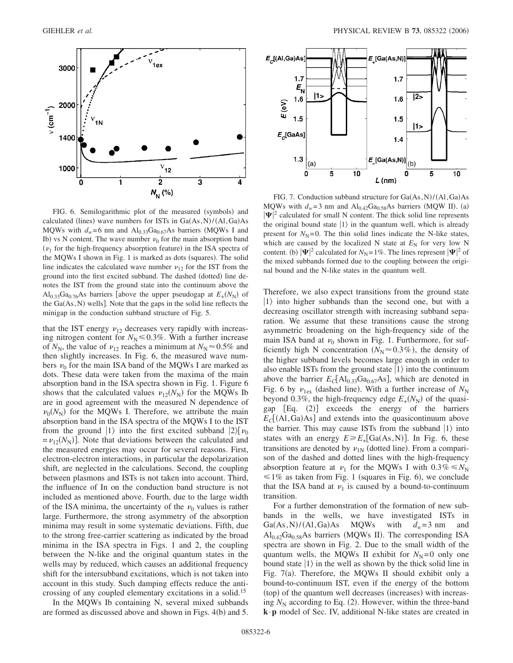

FIG. 6. Semilogarithmic plot of the measured (symbols) and calculated (lines) wave numbers for ISTs in  $Ga(As, N)/(Al, Ga)As$ MQWs with  $d_w = 6$  nm and  $Al_{0.33}Ga_{0.67}As$  barriers (MQWs I and Ib) vs N content. The wave number  $\nu_0$  for the main absorption band  $(\nu_1$  for the high-frequency absorption feature) in the ISA spectra of the MQWs I shown in Fig. 1 is marked as dots (squares). The solid line indicates the calculated wave number  $\nu_{12}$  for the IST from the ground into the first excited subband. The dashed (dotted) line denotes the IST from the ground state into the continuum above the  $\text{Al}_{0.33}\text{Ga}_{0.76}\text{As}$  barriers [above the upper pseudogap at  $E_{+}(N_{\text{N}})$  of the  $Ga(As, N)$  wells]. Note that the gaps in the solid line reflects the minigap in the conduction subband structure of Fig. 5.

that the IST energy  $v_{12}$  decreases very rapidly with increasing nitrogen content for  $N<sub>N</sub> \le 0.3\%$ . With a further increase of  $N_N$ , the value of  $\nu_{12}$  reaches a minimum at  $N_N \approx 0.5\%$  and then slightly increases. In Fig. 6, the measured wave numbers  $\nu_0$  for the main ISA band of the MQWs I are marked as dots. These data were taken from the maxima of the main absorption band in the ISA spectra shown in Fig. 1. Figure 6 shows that the calculated values  $v_{12}(N_N)$  for the MQWs Ib are in good agreement with the measured N dependence of  $\nu_0(N_N)$  for the MQWs I. Therefore, we attribute the main absorption band in the ISA spectra of the MQWs I to the IST from the ground  $|1\rangle$  into the first excited subband  $|2\rangle\left[\nu_0\right]$  $= \nu_{12}(N_{\rm N})$ . Note that deviations between the calculated and the measured energies may occur for several reasons. First, electron-electron interactions, in particular the depolarization shift, are neglected in the calculations. Second, the coupling between plasmons and ISTs is not taken into account. Third, the influence of In on the conduction band structure is not included as mentioned above. Fourth, due to the large width of the ISA minima, the uncertainty of the  $\nu_0$  values is rather large. Furthermore, the strong asymmetry of the absorption minima may result in some systematic deviations. Fifth, due to the strong free-carrier scattering as indicated by the broad minima in the ISA spectra in Figs. 1 and 2, the coupling between the N-like and the original quantum states in the wells may by reduced, which causes an additional frequency shift for the intersubband excitations, which is not taken into account in this study. Such damping effects reduce the anticrossing of any coupled elementary excitations in a solid.15

In the MQWs Ib containing N, several mixed subbands are formed as discussed above and shown in Figs. 4(b) and 5.



FIG. 7. Conduction subband structure for Ga(As, N)/(Al, Ga)As MQWs with  $d_w = 3$  nm and  $\text{Al}_{0.42}\text{Ga}_{0.58}\text{As barriers}$  (MQW II). (a)  $|\Psi|^2$  calculated for small N content. The thick solid line represents the original bound state  $|1\rangle$  in the quantum well, which is already present for  $N_N$ =0. The thin solid lines indicate the N-like states, which are caused by the localized N state at  $E<sub>N</sub>$  for very low N content. (b)  $|\Psi|^2$  calculated for  $N_N$ =1%. The lines represent  $|\Psi|^2$  of the mixed subbands formed due to the coupling between the original bound and the N-like states in the quantum well.

Therefore, we also expect transitions from the ground state  $|1\rangle$  into higher subbands than the second one, but with a decreasing oscillator strength with increasing subband separation. We assume that these transitions cause the strong asymmetric broadening on the high-frequency side of the main ISA band at  $\nu_0$  shown in Fig. 1. Furthermore, for sufficiently high N concentration  $(N_N \approx 0.3\%)$ , the density of the higher subband levels becomes large enough in order to also enable ISTs from the ground state  $|1\rangle$  into the continuum above the barrier  $E_C[AI_{0.33}Ga_{0.67}As]$ , which are denoted in Fig. 6 by  $v_{\text{lex}}$  (dashed line). With a further increase of  $N_{\text{N}}$ beyond 0.3%, the high-frequency edge  $E_{+}(N_{N})$  of the quasigap [Eq. (2)] exceeds the energy of the barriers  $E_C[(\text{Al},\text{Ga})\text{As}]$  and extends into the quasicontinuum above the barrier. This may cause ISTs from the subband  $|1\rangle$  into states with an energy  $E \ge E_+[\text{Ga}(\text{As}, \text{N})]$ . In Fig. 6, these transitions are denoted by  $v_{1N}$  (dotted line). From a comparison of the dashed and dotted lines with the high-frequency absorption feature at  $\nu_1$  for the MQWs I with  $0.3\% \le N_N$  $\leq 1\%$  as taken from Fig. 1 (squares in Fig. 6), we conclude that the ISA band at  $v_1$  is caused by a bound-to-continuum transition.

For a further demonstration of the formation of new subbands in the wells, we have investigated ISTs in  $Ga(As, N)/(Al, Ga)$ MQWs with  $d_w = 3$  nm and Al<sub>0.42</sub>Ga<sub>0.58</sub>As barriers (MQWs II). The corresponding ISA spectra are shown in Fig. 2. Due to the small width of the quantum wells, the MQWs II exhibit for  $N<sub>N</sub> = 0$  only one bound state  $|1\rangle$  in the well as shown by the thick solid line in Fig. 7(a). Therefore, the MQWs II should exhibit only a bound-to-continuum IST, even if the energy of the bottom (top) of the quantum well decreases (increases) with increasing  $N_N$  according to Eq. (2). However, within the three-band **k**·**p** model of Sec. IV, additional N-like states are created in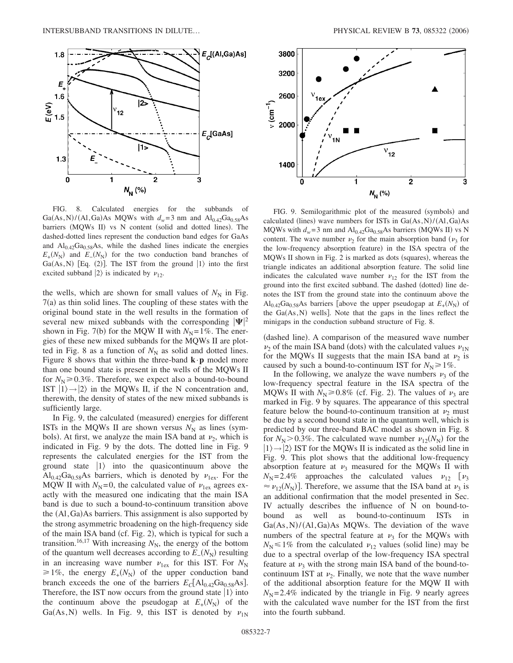

FIG. 8. Calculated energies for the subbands of Ga(As, N)/(Al, Ga)As MQWs with  $d_w = 3$  nm and  $Al_{0.42}Ga_{0.58}As$ barriers (MQWs II) vs N content (solid and dotted lines). The dashed-dotted lines represent the conduction band edges for GaAs and  $Al_{0.42}Ga_{0.58}As$ , while the dashed lines indicate the energies  $E_{+}(N_{\rm N})$  and  $E_{-}(N_{\rm N})$  for the two conduction band branches of Ga(As, N) [Eq. (2)]. The IST from the ground  $|1\rangle$  into the first excited subband  $|2\rangle$  is indicated by  $\nu_{12}$ .

the wells, which are shown for small values of  $N<sub>N</sub>$  in Fig. 7(a) as thin solid lines. The coupling of these states with the original bound state in the well results in the formation of several new mixed subbands with the corresponding  $|\Psi|^2$ shown in Fig. 7(b) for the MQW II with  $N_N = 1\%$ . The energies of these new mixed subbands for the MQWs II are plotted in Fig. 8 as a function of  $N<sub>N</sub>$  as solid and dotted lines. Figure 8 shows that within the three-band  $\mathbf{k} \cdot \mathbf{p}$  model more than one bound state is present in the wells of the MQWs II for  $N_{\rm N}$  $\geq$  0.3%. Therefore, we expect also a bound-to-bound IST  $|1\rangle \rightarrow |2\rangle$  in the MQWs II, if the N concentration and, therewith, the density of states of the new mixed subbands is sufficiently large.

In Fig. 9, the calculated (measured) energies for different ISTs in the MQWs II are shown versus  $N_N$  as lines (symbols). At first, we analyze the main ISA band at  $\nu_2$ , which is indicated in Fig. 9 by the dots. The dotted line in Fig. 9 represents the calculated energies for the IST from the ground state  $|1\rangle$  into the quasicontinuum above the  $\text{Al}_{0.42}\text{Ga}_{0.58}\text{As}$  barriers, which is denoted by  $v_{1\text{ex}}$ . For the MQW II with  $N_N = 0$ , the calculated value of  $v_{\text{lex}}$  agrees exactly with the measured one indicating that the main ISA band is due to such a bound-to-continuum transition above the (Al, Ga)As barriers. This assignment is also supported by the strong asymmetric broadening on the high-frequency side of the main ISA band (cf. Fig. 2), which is typical for such a transition.<sup>16,17</sup> With increasing  $N_N$ , the energy of the bottom of the quantum well decreases according to  $E_-(N_N)$  resulting in an increasing wave number  $v_{\text{lex}}$  for this IST. For  $N_N$  $\geq 1\%$ , the energy  $E_{+}(N_{N})$  of the upper conduction band branch exceeds the one of the barriers  $E_C[A]_{0.42}Ga_{0.58}As$ . Therefore, the IST now occurs from the ground state  $|1\rangle$  into the continuum above the pseudogap at  $E_{+}(N_{N})$  of the Ga(As, N) wells. In Fig. 9, this IST is denoted by  $v_{1N}$ 



FIG. 9. Semilogarithmic plot of the measured (symbols) and calculated (lines) wave numbers for ISTs in  $Ga(As, N)/(Al, Ga)As$ MQWs with  $d_w = 3$  nm and  $Al_{0.42}Ga_{0.58}As$  barriers (MQWs II) vs N content. The wave number  $\nu_2$  for the main absorption band  $(\nu_3$  for the low-frequency absorption feature) in the ISA spectra of the MQWs II shown in Fig. 2 is marked as dots (squares), whereas the triangle indicates an additional absorption feature. The solid line indicates the calculated wave number  $v_{12}$  for the IST from the ground into the first excited subband. The dashed (dotted) line denotes the IST from the ground state into the continuum above the  $\text{Al}_{0.42}\text{Ga}_{0.58}\text{As}$  barriers [above the upper pseudogap at  $E_{+}(N_{\text{N}})$  of the  $Ga(As, N)$  wells]. Note that the gaps in the lines reflect the minigaps in the conduction subband structure of Fig. 8.

(dashed line). A comparison of the measured wave number  $\nu_2$  of the main ISA band (dots) with the calculated values  $\nu_{1N}$ for the MQWs II suggests that the main ISA band at  $\nu_2$  is caused by such a bound-to-continuum IST for  $N<sub>N</sub> \ge 1\%$ .

In the following, we analyze the wave numbers  $\nu_3$  of the low-frequency spectral feature in the ISA spectra of the MQWs II with  $N_{\rm N} \ge 0.8\%$  (cf. Fig. 2). The values of  $\nu_3$  are marked in Fig. 9 by squares. The appearance of this spectral feature below the bound-to-continuum transition at  $\nu_2$  must be due by a second bound state in the quantum well, which is predicted by our three-band BAC model as shown in Fig. 8 for  $N_{\rm N}$  > 0.3%. The calculated wave number  $\nu_{12}(N_{\rm N})$  for the  $|1\rangle \rightarrow |2\rangle$  IST for the MQWs II is indicated as the solid line in Fig. 9. This plot shows that the additional low-frequency absorption feature at  $v_3$  measured for the MQWs II with  $N_{\rm N}$ =2.4% approaches the calculated values  $v_{12}$  [ $v_3$  $\approx \nu_{12}(N_N)$ ]. Therefore, we assume that the ISA band at  $\nu_3$  is an additional confirmation that the model presented in Sec. IV actually describes the influence of N on bound-tobound as well as bound-to-continuum ISTs in  $Ga(As, N)/(Al, Ga)As$  MQWs. The deviation of the wave numbers of the spectral feature at  $\nu_3$  for the MQWs with  $N_{\rm N}$   $\leq$  1% from the calculated  $\nu_{12}$  values (solid line) may be due to a spectral overlap of the low-frequency ISA spectral feature at  $\nu_3$  with the strong main ISA band of the bound-tocontinuum IST at  $\nu_2$ . Finally, we note that the wave number of the additional absorption feature for the MQW II with  $N_{\rm N}$ =2.4% indicated by the triangle in Fig. 9 nearly agrees with the calculated wave number for the IST from the first into the fourth subband.